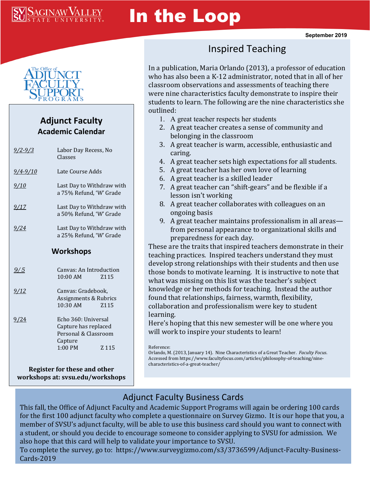

# In the Loop



#### **Adjunct Faculty Academic Calendar**

| <u>9/2-9/3</u> | Labor Day Recess, No<br>Classes                                                                      |
|----------------|------------------------------------------------------------------------------------------------------|
| $9/4 - 9/10$   | Late Course Adds                                                                                     |
| <u>9/10</u>    | Last Day to Withdraw with<br>a 75% Refund, 'W' Grade                                                 |
| 9/17           | Last Day to Withdraw with<br>a 50% Refund, 'W' Grade                                                 |
| 9/24           | Last Day to Withdraw with<br>a 25% Refund, 'W' Grade                                                 |
| Workshops      |                                                                                                      |
| <u>9/5</u>     | Canvas: An Introduction<br>$10:00$ AM<br>Z <sub>115</sub>                                            |
| <u>9/12</u>    | Canvas: Gradebook,<br>Assignments & Rubrics<br>10:30 AM<br>Z <sub>115</sub>                          |
| <u>9/24</u>    | Echo 360: Universal<br>Capture has replaced<br>Personal & Classroom<br>Capture<br>$1:00$ PM<br>Z 115 |
|                |                                                                                                      |

**Register for these and other workshops at: svsu.edu/workshops**

# Inspired Teaching

In a publication, Maria Orlando (2013), a professor of education who has also been a K-12 administrator, noted that in all of her classroom observations and assessments of teaching there were nine characteristics faculty demonstrate to inspire their students to learn. The following are the nine characteristics she outlined:

- 1. A great teacher respects her students
- 2. A great teacher creates a sense of community and belonging in the classroom
- 3. A great teacher is warm, accessible, enthusiastic and caring.
- 4. A great teacher sets high expectations for all students.
- 5. A great teacher has her own love of learning
- 6. A great teacher is a skilled leader
- 7. A great teacher can "shift-gears" and be flexible if a lesson isn't working
- 8. A great teacher collaborates with colleagues on an ongoing basis
- 9. A great teacher maintains professionalism in all areas from personal appearance to organizational skills and preparedness for each day.

These are the traits that inspired teachers demonstrate in their teaching practices. Inspired teachers understand they must develop strong relationships with their students and then use those bonds to motivate learning. It is instructive to note that what was missing on this list was the teacher's subject knowledge or her methods for teaching. Instead the author found that relationships, fairness, warmth, flexibility, collaboration and professionalism were key to student learning.

Here's hoping that this new semester will be one where you will work to inspire your students to learn!

Reference:

Orlando, M. (2013, January 14). Nine Characteristics of a Great Teacher. *Faculty Focus*. Accessed from https://www.facultyfocus.com/articles/philosophy-of-teaching/ninecharacteristics-of-a-great-teacher/

### Adjunct Faculty Business Cards

This fall, the Office of Adjunct Faculty and Academic Support Programs will again be ordering 100 cards for the first 100 adjunct faculty who complete a questionnaire on Survey Gizmo. It is our hope that you, a member of SVSU's adjunct faculty, will be able to use this business card should you want to connect with a student, or should you decide to encourage someone to consider applying to SVSU for admission. We also hope that this card will help to validate your importance to SVSU.

To complete the survey, go to: https://www.surveygizmo.com/s3/3736599/Adjunct-Faculty-Business-Cards-2019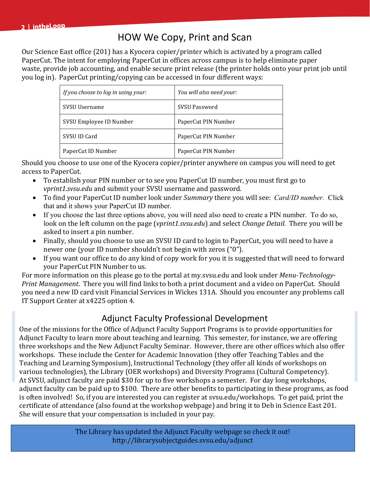## HOW We Copy, Print and Scan

Our Science East office (201) has a Kyocera copier/printer which is activated by a program called PaperCut. The intent for employing PaperCut in offices across campus is to help eliminate paper waste, provide job accounting, and enable secure print release (the printer holds onto your print job until you log in). PaperCut printing/copying can be accessed in four different ways:

| If you choose to log in using your: | You will also need your: |
|-------------------------------------|--------------------------|
| SVSU Username                       | <b>SVSU Password</b>     |
| SVSU Employee ID Number             | PaperCut PIN Number      |
| SVSU ID Card                        | PaperCut PIN Number      |
| PaperCut ID Number                  | PaperCut PIN Number      |

Should you choose to use one of the Kyocera copier/printer anywhere on campus you will need to get access to PaperCut.

- To establish your PIN number or to see you PaperCut ID number, you must first go to *vprint1.svsu.edu* and submit your SVSU username and password.
- To find your PaperCut ID number look under *Summary* there you will see: *Card/ID number.* Click that and it shows your PaperCut ID number.
- If you choose the last three options above, you will need also need to create a PIN number. To do so, look on the left column on the page (*vprint1.svsu.edu*) and select *Change Detail.* There you will be asked to insert a pin number.
- Finally, should you choose to use an SVSU ID card to login to PaperCut, you will need to have a newer one (your ID number shouldn't not begin with zeros ("0").
- If you want our office to do any kind of copy work for you it is suggested that will need to forward your PaperCut PIN Number to us.

For more information on this please go to the portal at my.svsu.edu and look under *Menu-Technology-Print Management*. There you will find links to both a print document and a video on PaperCut. Should you need a new ID card visit Financial Services in Wickes 131A. Should you encounter any problems call IT Support Center at x4225 option 4.

#### Adjunct Faculty Professional Development

One of the missions for the Office of Adjunct Faculty Support Programs is to provide opportunities for Adjunct Faculty to learn more about teaching and learning. This semester, for instance, we are offering three workshops and the New Adjunct Faculty Seminar. However, there are other offices which also offer workshops. These include the Center for Academic Innovation (they offer Teaching Tables and the Teaching and Learning Symposium), Instructional Technology (they offer all kinds of workshops on various technologies), the Library (OER workshops) and Diversity Programs (Cultural Competency). At SVSU, adjunct faculty are paid \$30 for up to five workshops a semester. For day long workshops, adjunct faculty can be paid up to \$100. There are other benefits to participating in these programs, as food is often involved! So, if you are interested you can register at svsu.edu/workshops. To get paid, print the certificate of attendance (also found at the workshop webpage) and bring it to Deb in Science East 201. She will ensure that your compensation is included in your pay.

> The Library has updated the Adjunct Faculty webpage so check it out! http://librarysubjectguides.svsu.edu/adjunct